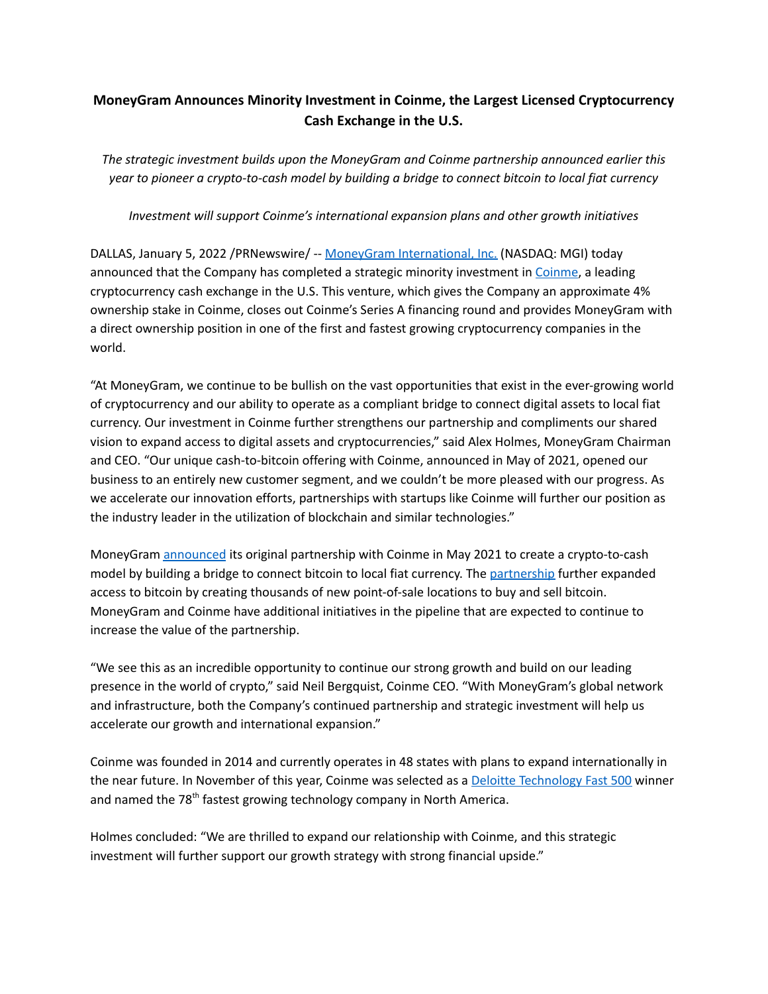## **MoneyGram Announces Minority Investment in Coinme, the Largest Licensed Cryptocurrency Cash Exchange in the U.S.**

*The strategic investment builds upon the MoneyGram and Coinme partnership announced earlier this year to pioneer a crypto-to-cash model by building a bridge to connect bitcoin to local fiat currency*

*Investment will support Coinme's international expansion plans and other growth initiatives*

DALLAS, January 5, 2022 /PRNewswire/ -- MoneyGram [International,](https://www.moneygram.com/mgo/us/en/) Inc. (NASDAQ: MGI) today announced that the Company has completed a strategic minority investment in [Coinme](https://coinme.com/coinstar/), a leading cryptocurrency cash exchange in the U.S. This venture, which gives the Company an approximate 4% ownership stake in Coinme, closes out Coinme's Series A financing round and provides MoneyGram with a direct ownership position in one of the first and fastest growing cryptocurrency companies in the world.

"At MoneyGram, we continue to be bullish on the vast opportunities that exist in the ever-growing world of cryptocurrency and our ability to operate as a compliant bridge to connect digital assets to local fiat currency. Our investment in Coinme further strengthens our partnership and compliments our shared vision to expand access to digital assets and cryptocurrencies," said Alex Holmes, MoneyGram Chairman and CEO. "Our unique cash-to-bitcoin offering with Coinme, announced in May of 2021, opened our business to an entirely new customer segment, and we couldn't be more pleased with our progress. As we accelerate our innovation efforts, partnerships with startups like Coinme will further our position as the industry leader in the utilization of blockchain and similar technologies."

MoneyGram [announced](https://www.prnewswire.com/news-releases/moneygram-and-coinme-partner-to-expand-access-to-bitcoin-301289312.html) its original partnership with Coinme in May 2021 to create a crypto-to-cash model by building a bridge to connect bitcoin to local fiat currency. The [partnership](https://coinme.com/moneygram/) further expanded access to bitcoin by creating thousands of new point-of-sale locations to buy and sell bitcoin. MoneyGram and Coinme have additional initiatives in the pipeline that are expected to continue to increase the value of the partnership.

"We see this as an incredible opportunity to continue our strong growth and build on our leading presence in the world of crypto," said Neil Bergquist, Coinme CEO. "With MoneyGram's global network and infrastructure, both the Company's continued partnership and strategic investment will help us accelerate our growth and international expansion."

Coinme was founded in 2014 and currently operates in 48 states with plans to expand internationally in the near future. In November of this year, Coinme was selected as a Deloitte [Technology](https://www2.deloitte.com/us/en/pages/technology-media-and-telecommunications/articles/fast500-winners.html) Fast 500 winner and named the 78<sup>th</sup> fastest growing technology company in North America.

Holmes concluded: "We are thrilled to expand our relationship with Coinme, and this strategic investment will further support our growth strategy with strong financial upside."